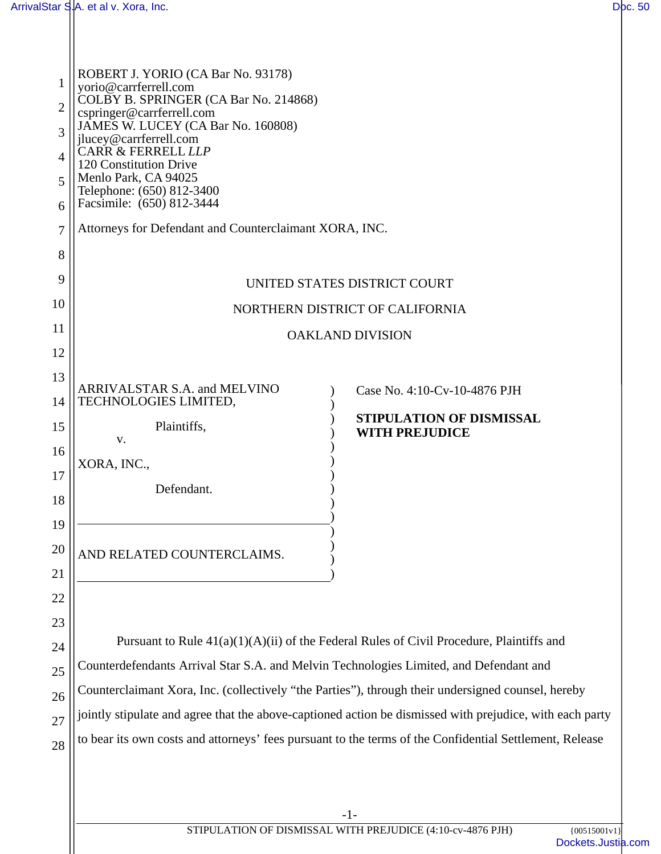| $\mathbf{1}$<br>$\overline{2}$<br>3<br>4<br>5<br>6<br>7<br>8<br>9<br>10<br>11<br>12 | ROBERT J. YORIO (CA Bar No. 93178)<br>yorio@carrferrell.com<br>COLBY B. SPRINGER (CA Bar No. 214868)<br>cspringer@carrferrell.com<br>JAMES W. LUCEY (CA Bar No. 160808)<br>jlucey@carrferrell.com<br><b>CARR &amp; FERRELL LLP</b><br>120 Constitution Drive<br>Menlo Park, CA 94025<br>Telephone: (650) 812-3400<br>Facsimile: (650) 812-3444<br>Attorneys for Defendant and Counterclaimant XORA, INC.<br>UNITED STATES DISTRICT COURT<br>NORTHERN DISTRICT OF CALIFORNIA<br><b>OAKLAND DIVISION</b>            |
|-------------------------------------------------------------------------------------|-------------------------------------------------------------------------------------------------------------------------------------------------------------------------------------------------------------------------------------------------------------------------------------------------------------------------------------------------------------------------------------------------------------------------------------------------------------------------------------------------------------------|
| 13<br>14<br>15<br>16<br>17<br>18<br>19<br>20<br>21                                  | ARRIVALSTAR S.A. and MELVINO<br>Case No. 4:10-Cv-10-4876 PJH<br>TECHNOLOGIES LIMITED,<br>STIPULATION OF DISMISSAL<br>Plaintiffs,<br><b>WITH PREJUDICE</b><br>V.<br>XORA, INC.,<br>Defendant.<br>AND RELATED COUNTERCLAIMS.                                                                                                                                                                                                                                                                                        |
| 22<br>23<br>24<br>25<br>26<br>27<br>28                                              | Pursuant to Rule $41(a)(1)(A)(ii)$ of the Federal Rules of Civil Procedure, Plaintiffs and<br>Counterdefendants Arrival Star S.A. and Melvin Technologies Limited, and Defendant and<br>Counterclaimant Xora, Inc. (collectively "the Parties"), through their undersigned counsel, hereby<br>jointly stipulate and agree that the above-captioned action be dismissed with prejudice, with each party<br>to bear its own costs and attorneys' fees pursuant to the terms of the Confidential Settlement, Release |